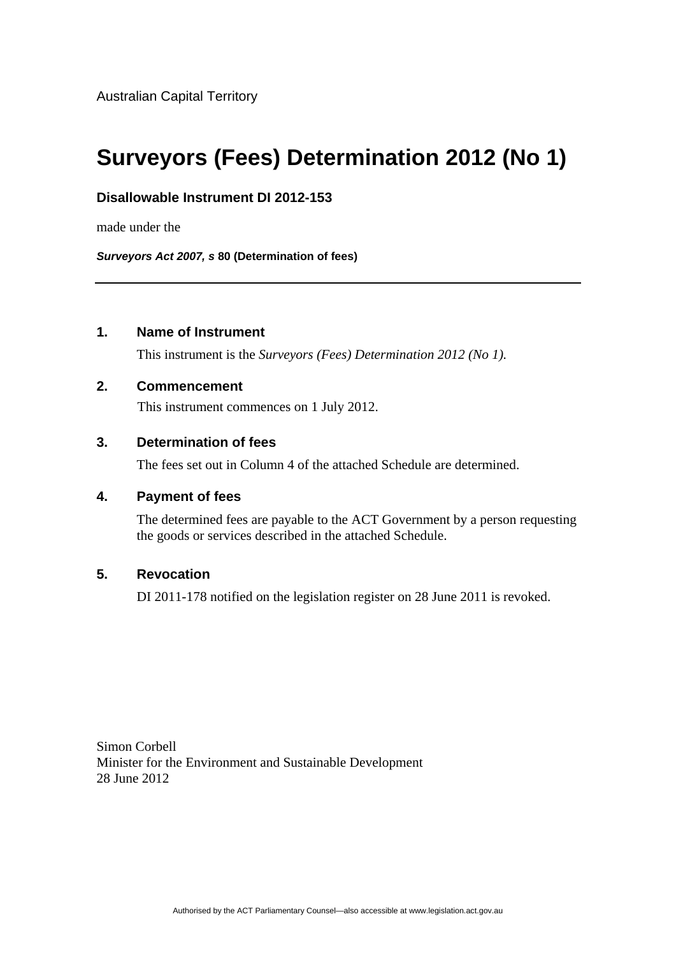Australian Capital Territory

# **Surveyors (Fees) Determination 2012 (No 1)**

### **Disallowable Instrument DI 2012-153**

made under the

*Surveyors Act 2007, s* **80 (Determination of fees)**

## **1. Name of Instrument**

This instrument is the *Surveyors (Fees) Determination 2012 (No 1).* 

### **2. Commencement**

This instrument commences on 1 July 2012.

## **3. Determination of fees**

The fees set out in Column 4 of the attached Schedule are determined.

#### **4. Payment of fees**

The determined fees are payable to the ACT Government by a person requesting the goods or services described in the attached Schedule.

### **5. Revocation**

DI 2011-178 notified on the legislation register on 28 June 2011 is revoked.

Simon Corbell Minister for the Environment and Sustainable Development 28 June 2012